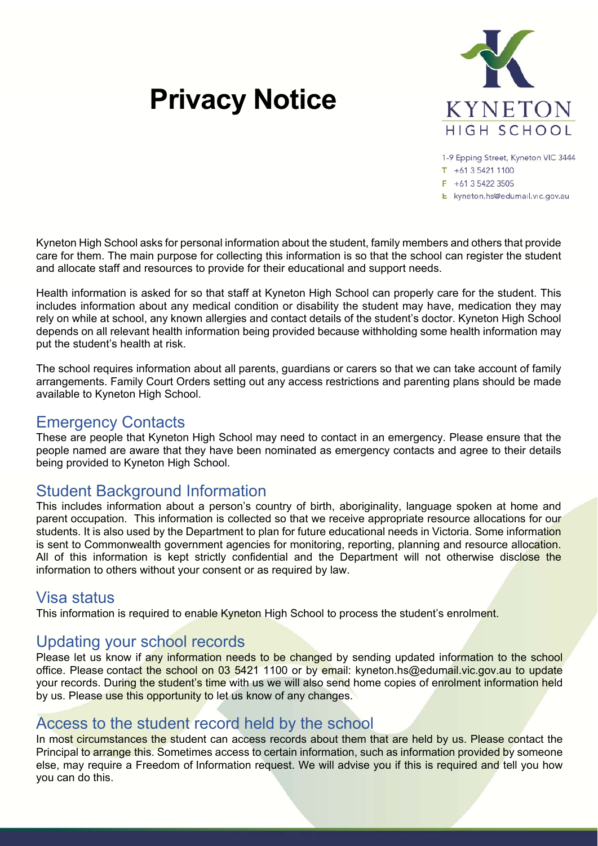# **Privacy Notice**



1-9 Epping Street, Kyneton VIC 3444

 $T + 61354211100$ 

 $F + 61$  3 5422 3505

E kyneton.hs@edumail.vic.gov.au

Kyneton High School asks for personal information about the student, family members and others that provide care for them. The main purpose for collecting this information is so that the school can register the student and allocate staff and resources to provide for their educational and support needs.

Health information is asked for so that staff at Kyneton High School can properly care for the student. This includes information about any medical condition or disability the student may have, medication they may rely on while at school, any known allergies and contact details of the student's doctor. Kyneton High School depends on all relevant health information being provided because withholding some health information may put the student's health at risk.

The school requires information about all parents, guardians or carers so that we can take account of family arrangements. Family Court Orders setting out any access restrictions and parenting plans should be made available to Kyneton High School.

#### Emergency Contacts

These are people that Kyneton High School may need to contact in an emergency. Please ensure that the people named are aware that they have been nominated as emergency contacts and agree to their details being provided to Kyneton High School.

## Student Background Information

This includes information about a person's country of birth, aboriginality, language spoken at home and parent occupation. This information is collected so that we receive appropriate resource allocations for our students. It is also used by the Department to plan for future educational needs in Victoria. Some information is sent to Commonwealth government agencies for monitoring, reporting, planning and resource allocation. All of this information is kept strictly confidential and the Department will not otherwise disclose the information to others without your consent or as required by law.

### Visa status

This information is required to enable Kyneton High School to process the student's enrolment.

## Updating your school records

Please let us know if any information needs to be changed by sending updated information to the school office. Please contact the school on 03 5421 1100 or by email: kyneton.hs@edumail.vic.gov.au to update your records. During the student's time with us we will also send home copies of enrolment information held by us. Please use this opportunity to let us know of any changes.

### Access to the student record held by the school

In most circumstances the student can access records about them that are held by us. Please contact the Principal to arrange this. Sometimes access to certain information, such as information provided by someone else, may require a Freedom of Information request. We will advise you if this is required and tell you how you can do this.